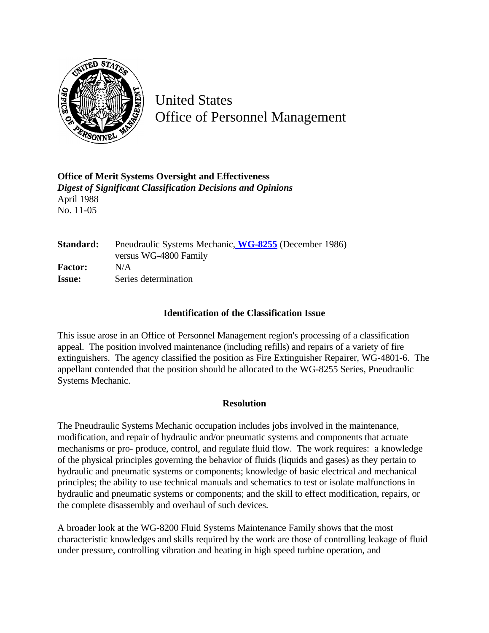

United States Office of Personnel Management

**Office of Merit Systems Oversight and Effectiveness** *Digest of Significant Classification Decisions and Opinions* April 1988 No. 11-05

**Standard:** Pneudraulic Systems Mechanic, **[WG-8255](http://www.opm.gov/hr/fedclass/fws8255.pdf)** (December 1986) versus WG-4800 Family **Factor:** N/A **Issue:** Series determination

## **Identification of the Classification Issue**

This issue arose in an Office of Personnel Management region's processing of a classification appeal. The position involved maintenance (including refills) and repairs of a variety of fire extinguishers. The agency classified the position as Fire Extinguisher Repairer, WG-4801-6. The appellant contended that the position should be allocated to the WG-8255 Series, Pneudraulic Systems Mechanic.

## **Resolution**

The Pneudraulic Systems Mechanic occupation includes jobs involved in the maintenance, modification, and repair of hydraulic and/or pneumatic systems and components that actuate mechanisms or pro- produce, control, and regulate fluid flow. The work requires: a knowledge of the physical principles governing the behavior of fluids (liquids and gases) as they pertain to hydraulic and pneumatic systems or components; knowledge of basic electrical and mechanical principles; the ability to use technical manuals and schematics to test or isolate malfunctions in hydraulic and pneumatic systems or components; and the skill to effect modification, repairs, or the complete disassembly and overhaul of such devices.

A broader look at the WG-8200 Fluid Systems Maintenance Family shows that the most characteristic knowledges and skills required by the work are those of controlling leakage of fluid under pressure, controlling vibration and heating in high speed turbine operation, and